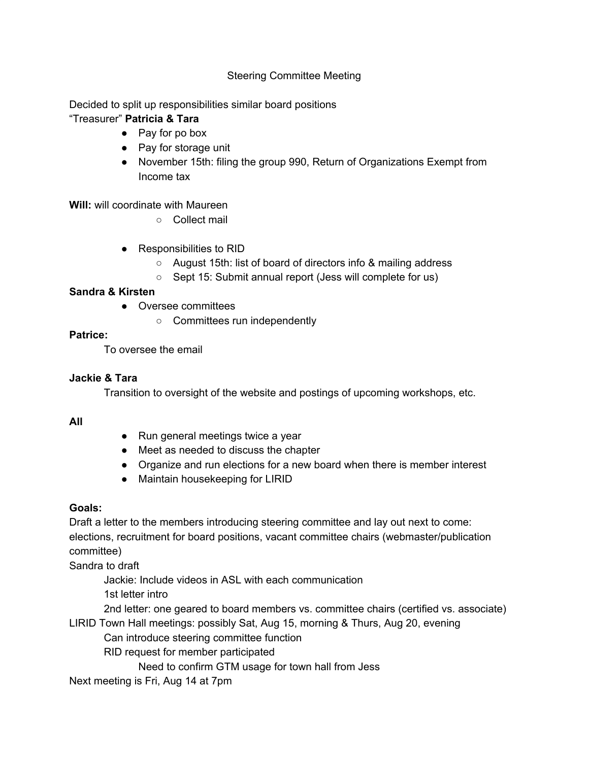## Steering Committee Meeting

Decided to split up responsibilities similar board positions

# "Treasurer" **Patricia & Tara**

- Pay for po box
- Pay for storage unit
- November 15th: filing the group 990, Return of Organizations Exempt from Income tax

## **Will:** will coordinate with Maureen

- Collect mail
- Responsibilities to RID
	- August 15th: list of board of directors info & mailing address
	- Sept 15: Submit annual report (Jess will complete for us)

## **Sandra & Kirsten**

- Oversee committees
	- Committees run independently

## **Patrice:**

To oversee the email

# **Jackie & Tara**

Transition to oversight of the website and postings of upcoming workshops, etc.

### **All**

- Run general meetings twice a year
- Meet as needed to discuss the chapter
- Organize and run elections for a new board when there is member interest
- Maintain housekeeping for LIRID

# **Goals:**

Draft a letter to the members introducing steering committee and lay out next to come: elections, recruitment for board positions, vacant committee chairs (webmaster/publication committee)

Sandra to draft

Jackie: Include videos in ASL with each communication

1st letter intro

2nd letter: one geared to board members vs. committee chairs (certified vs. associate)

LIRID Town Hall meetings: possibly Sat, Aug 15, morning & Thurs, Aug 20, evening Can introduce steering committee function

RID request for member participated

Need to confirm GTM usage for town hall from Jess

Next meeting is Fri, Aug 14 at 7pm